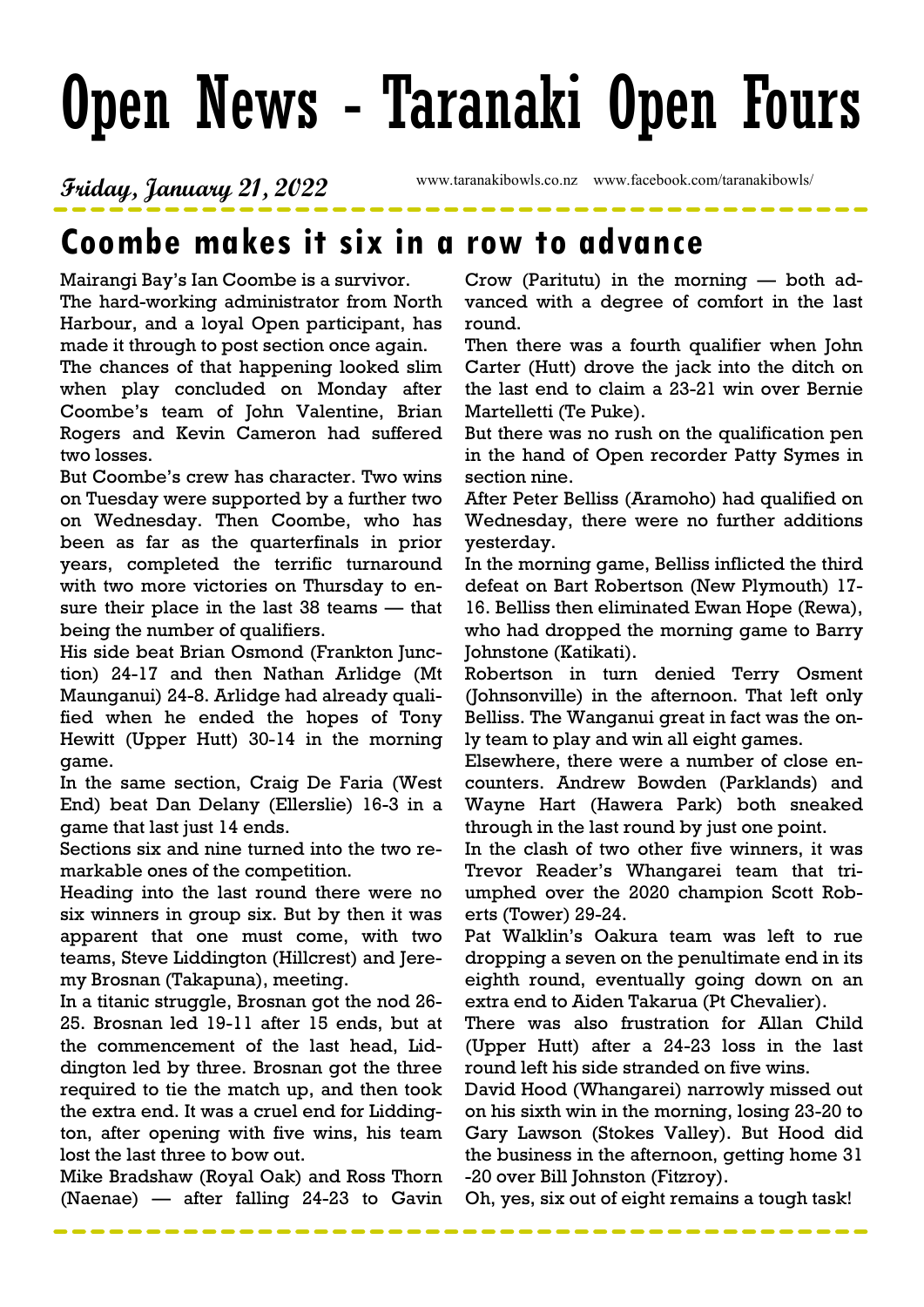# Open News - Taranaki Open Fours

## Friday, January 21, 2022 www.taranakibowls.co.nz www.facebook.com/taranakibowls/

## Coombe makes it six in a row to advance

Mairangi Bay's Ian Coombe is a survivor. The hard-working administrator from North Harbour, and a loyal Open participant, has made it through to post section once again.

The chances of that happening looked slim when play concluded on Monday after Coombe's team of John Valentine, Brian Rogers and Kevin Cameron had suffered two losses.

But Coombe's crew has character. Two wins on Tuesday were supported by a further two on Wednesday. Then Coombe, who has been as far as the quarterfinals in prior years, completed the terrific turnaround with two more victories on Thursday to ensure their place in the last 38 teams — that being the number of qualifiers.

His side beat Brian Osmond (Frankton Junction) 24-17 and then Nathan Arlidge (Mt Maunganui) 24-8. Arlidge had already qualified when he ended the hopes of Tony Hewitt (Upper Hutt) 30-14 in the morning game.

In the same section, Craig De Faria (West End) beat Dan Delany (Ellerslie) 16-3 in a game that last just 14 ends.

Sections six and nine turned into the two remarkable ones of the competition.

Heading into the last round there were no six winners in group six. But by then it was apparent that one must come, with two teams, Steve Liddington (Hillcrest) and Jeremy Brosnan (Takapuna), meeting.

In a titanic struggle, Brosnan got the nod 26- 25. Brosnan led 19-11 after 15 ends, but at the commencement of the last head, Liddington led by three. Brosnan got the three required to tie the match up, and then took the extra end. It was a cruel end for Liddington, after opening with five wins, his team lost the last three to bow out.

Mike Bradshaw (Royal Oak) and Ross Thorn (Naenae) — after falling 24-23 to Gavin Crow (Paritutu) in the morning — both advanced with a degree of comfort in the last round.

Then there was a fourth qualifier when John Carter (Hutt) drove the jack into the ditch on the last end to claim a 23-21 win over Bernie Martelletti (Te Puke).

But there was no rush on the qualification pen in the hand of Open recorder Patty Symes in section nine.

After Peter Belliss (Aramoho) had qualified on Wednesday, there were no further additions yesterday.

In the morning game, Belliss inflicted the third defeat on Bart Robertson (New Plymouth) 17- 16. Belliss then eliminated Ewan Hope (Rewa), who had dropped the morning game to Barry Johnstone (Katikati).

Robertson in turn denied Terry Osment (Johnsonville) in the afternoon. That left only Belliss. The Wanganui great in fact was the only team to play and win all eight games.

Elsewhere, there were a number of close encounters. Andrew Bowden (Parklands) and Wayne Hart (Hawera Park) both sneaked through in the last round by just one point.

In the clash of two other five winners, it was Trevor Reader's Whangarei team that triumphed over the 2020 champion Scott Roberts (Tower) 29-24.

Pat Walklin's Oakura team was left to rue dropping a seven on the penultimate end in its eighth round, eventually going down on an extra end to Aiden Takarua (Pt Chevalier).

There was also frustration for Allan Child (Upper Hutt) after a 24-23 loss in the last round left his side stranded on five wins.

David Hood (Whangarei) narrowly missed out on his sixth win in the morning, losing 23-20 to Gary Lawson (Stokes Valley). But Hood did the business in the afternoon, getting home 31 -20 over Bill Johnston (Fitzroy).

Oh, yes, six out of eight remains a tough task!